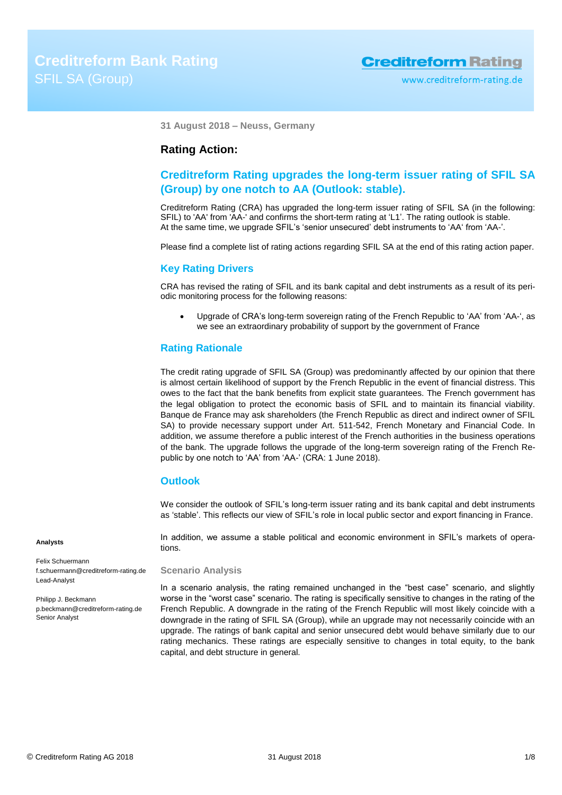**31 August 2018 – Neuss, Germany**

### **Rating Action:**

## **Creditreform Rating upgrades the long-term issuer rating of SFIL SA (Group) by one notch to AA (Outlook: stable).**

Creditreform Rating (CRA) has upgraded the long-term issuer rating of SFIL SA (in the following: SFIL) to 'AA' from 'AA-' and confirms the short-term rating at 'L1'. The rating outlook is stable. At the same time, we upgrade SFIL's 'senior unsecured' debt instruments to 'AA' from 'AA-'.

Please find a complete list of rating actions regarding SFIL SA at the end of this rating action paper.

#### **Key Rating Drivers**

CRA has revised the rating of SFIL and its bank capital and debt instruments as a result of its periodic monitoring process for the following reasons:

 Upgrade of CRA's long-term sovereign rating of the French Republic to 'AA' from 'AA-', as we see an extraordinary probability of support by the government of France

#### **Rating Rationale**

The credit rating upgrade of SFIL SA (Group) was predominantly affected by our opinion that there is almost certain likelihood of support by the French Republic in the event of financial distress. This owes to the fact that the bank benefits from explicit state guarantees. The French government has the legal obligation to protect the economic basis of SFIL and to maintain its financial viability. Banque de France may ask shareholders (the French Republic as direct and indirect owner of SFIL SA) to provide necessary support under Art. 511-542, French Monetary and Financial Code. In addition, we assume therefore a public interest of the French authorities in the business operations of the bank. The upgrade follows the upgrade of the long-term sovereign rating of the French Republic by one notch to 'AA' from 'AA-' (CRA: 1 June 2018).

#### **Outlook**

We consider the outlook of SFIL's long-term issuer rating and its bank capital and debt instruments as 'stable'. This reflects our view of SFIL's role in local public sector and export financing in France.

In addition, we assume a stable political and economic environment in SFIL's markets of operations.

#### **Scenario Analysis**

In a scenario analysis, the rating remained unchanged in the "best case" scenario, and slightly worse in the "worst case" scenario. The rating is specifically sensitive to changes in the rating of the French Republic. A downgrade in the rating of the French Republic will most likely coincide with a downgrade in the rating of SFIL SA (Group), while an upgrade may not necessarily coincide with an upgrade. The ratings of bank capital and senior unsecured debt would behave similarly due to our rating mechanics. These ratings are especially sensitive to changes in total equity, to the bank capital, and debt structure in general.

#### **Analysts**

Felix Schuermann f.schuermann@creditreform-rating.de Lead-Analyst

Philipp J. Beckmann p.beckmann@creditreform-rating.de Senior Analyst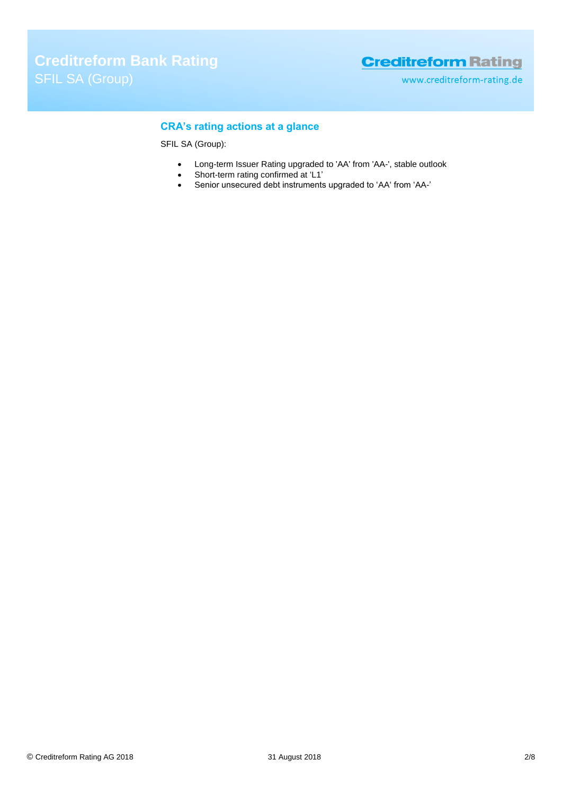www.creditreform-rating.de

## **CRA's rating actions at a glance**

SFIL SA (Group):

- Long-term Issuer Rating upgraded to 'AA' from 'AA-', stable outlook
- Short-term rating confirmed at 'L1'
- Senior unsecured debt instruments upgraded to 'AA' from 'AA-'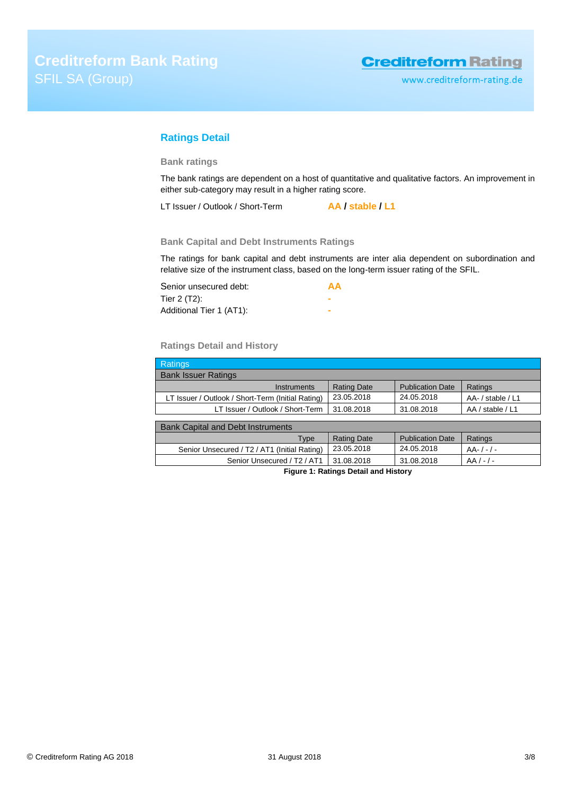### **Ratings Detail**

#### **Bank ratings**

The bank ratings are dependent on a host of quantitative and qualitative factors. An improvement in either sub-category may result in a higher rating score.

LT Issuer / Outlook / Short-Term **AA / stable / L1**

#### **Bank Capital and Debt Instruments Ratings**

The ratings for bank capital and debt instruments are inter alia dependent on subordination and relative size of the instrument class, based on the long-term issuer rating of the SFIL.

| Senior unsecured debt:   | AA |
|--------------------------|----|
| Tier 2 (T2):             |    |
| Additional Tier 1 (AT1): |    |

**Ratings Detail and History**

| <b>Ratings</b>                                    |                    |                         |                  |
|---------------------------------------------------|--------------------|-------------------------|------------------|
| <b>Bank Issuer Ratings</b>                        |                    |                         |                  |
| <b>Instruments</b>                                | <b>Rating Date</b> | <b>Publication Date</b> | Ratings          |
| LT Issuer / Outlook / Short-Term (Initial Rating) | 23.05.2018         | 24.05.2018              | AA-/stable/L1    |
| LT Issuer / Outlook / Short-Term                  | 31.08.2018         | 31.08.2018              | AA / stable / L1 |
| Dealer Constanting and District for other contact |                    |                         |                  |

| <b>Bank Capital and Debt Instruments</b>                  |                    |                         |                |
|-----------------------------------------------------------|--------------------|-------------------------|----------------|
| Type                                                      | <b>Rating Date</b> | <b>Publication Date</b> | Ratings        |
| Senior Unsecured / T2 / AT1 (Initial Rating)   23.05.2018 |                    | 24.05.2018              | $AA - / - / -$ |
| Senior Unsecured / T2 / AT1   31.08.2018                  |                    | 31.08.2018              | $AA/-/-$       |
|                                                           |                    |                         |                |

**Figure 1: Ratings Detail and History**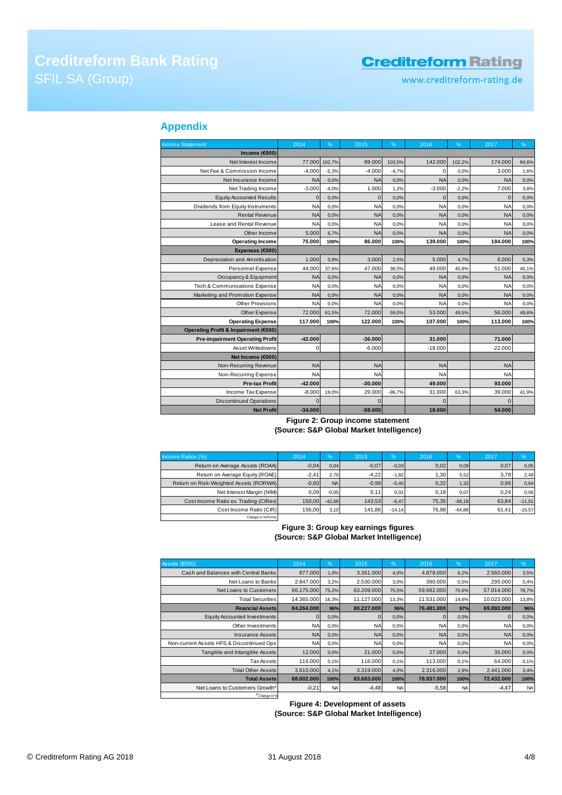www.creditreform-rating.de

## **Appendix**

| <b>Income Statement</b>                | 2014          | $\%$    | 2015           | $\frac{9}{6}$ | 2016         | %       | 2017           | %     |
|----------------------------------------|---------------|---------|----------------|---------------|--------------|---------|----------------|-------|
| Income (€000)                          |               |         |                |               |              |         |                |       |
| Net Interest Income                    | 77.000 102,7% |         | 89,000         | 103,5%        | 142.000      | 102,2%  | 174.000        | 94,6% |
| Net Fee & Commission Income            | $-4.000$      | $-5,3%$ | $-4.000$       | $-4,7%$       | 0            | 0.0%    | 3.000          | 1,6%  |
| Net Insurance Income                   | <b>NA</b>     | 0.0%    | <b>NA</b>      | 0,0%          | <b>NA</b>    | 0,0%    | <b>NA</b>      | 0.0%  |
| Net Trading Income                     | $-3.000$      | $-4.0%$ | 1.000          | 1,2%          | $-3.000$     | $-2,2%$ | 7.000          | 3,8%  |
| <b>Equity Accounted Results</b>        | $\Omega$      | 0,0%    | $\overline{0}$ | 0,0%          | $\mathbf{0}$ | 0,0%    | $\overline{0}$ | 0.0%  |
| Dividends from Equity Instruments      | <b>NA</b>     | 0,0%    | <b>NA</b>      | 0,0%          | <b>NA</b>    | 0.0%    | <b>NA</b>      | 0.0%  |
| <b>Rental Revenue</b>                  | <b>NA</b>     | 0,0%    | <b>NA</b>      | 0,0%          | <b>NA</b>    | 0,0%    | <b>NA</b>      | 0.0%  |
| Lease and Rental Revenue               | <b>NA</b>     | 0,0%    | <b>NA</b>      | 0,0%          | <b>NA</b>    | 0.0%    | <b>NA</b>      | 0,0%  |
| Other Income                           | 5.000         | 6,7%    | <b>NA</b>      | 0,0%          | <b>NA</b>    | 0,0%    | <b>NA</b>      | 0.0%  |
| <b>Operating Income</b>                | 75.000        | 100%    | 86,000         | 100%          | 139.000      | 100%    | 184.000        | 100%  |
| Expenses (€000)                        |               |         |                |               |              |         |                |       |
| Depreciation and Amortisation          | 1.000         | 0,9%    | 3.000          | 2,5%          | 5.000        | 4,7%    | 6.000          | 5,3%  |
| Personnel Expense                      | 44.000        | 37,6%   | 47.000         | 38,5%         | 49.000       | 45,8%   | 51.000         | 45,1% |
| Occupancy & Equipment                  | <b>NA</b>     | 0,0%    | <b>NA</b>      | 0,0%          | <b>NA</b>    | 0,0%    | <b>NA</b>      | 0,0%  |
| Tech & Communications Expense          | <b>NA</b>     | 0.0%    | <b>NA</b>      | 0,0%          | <b>NA</b>    | 0.0%    | <b>NA</b>      | 0.0%  |
| Marketing and Promotion Expense        | <b>NA</b>     | 0.0%    | <b>NA</b>      | 0.0%          | <b>NA</b>    | 0,0%    | <b>NA</b>      | 0,0%  |
| <b>Other Provisions</b>                | <b>NA</b>     | 0.0%    | <b>NA</b>      | 0,0%          | <b>NA</b>    | 0.0%    | <b>NA</b>      | 0.0%  |
| Other Expense                          | 72,000        | 61,5%   | 72.000         | 59,0%         | 53.000       | 49,5%   | 56.000         | 49,6% |
| <b>Operating Expense</b>               | 117.000       | 100%    | 122.000        | 100%          | 107.000      | 100%    | 113.000        | 100%  |
| Operating Profit & Impairment (€000)   |               |         |                |               |              |         |                |       |
| <b>Pre-impairment Operating Profit</b> | $-42.000$     |         | $-36.000$      |               | 31.000       |         | 71.000         |       |
| Asset Writedowns                       | $\mathbf 0$   |         | $-6.000$       |               | $-18.000$    |         | $-22.000$      |       |
| Net Income (€000)                      |               |         |                |               |              |         |                |       |
| Non-Recurring Revenue                  | <b>NA</b>     |         | <b>NA</b>      |               | <b>NA</b>    |         | <b>NA</b>      |       |
| Non-Recurring Expense                  | <b>NA</b>     |         | <b>NA</b>      |               | <b>NA</b>    |         | <b>NA</b>      |       |
| <b>Pre-tax Profit</b>                  | $-42.000$     |         | $-30.000$      |               | 49.000       |         | 93.000         |       |
| Income Tax Expense                     | $-8.000$      | 19.0%   | 29,000         | $-96.7%$      | 31,000       | 63.3%   | 39.000         | 41,9% |
| <b>Discontinued Operations</b>         | $\mathbf 0$   |         | $\overline{0}$ |               | $\mathbf 0$  |         | $\mathbf 0$    |       |
| <b>Net Profit</b>                      | $-34.000$     |         | $-59.000$      |               | 18.000       |         | 54.000         |       |
|                                        |               |         |                |               |              |         |                |       |

#### **Figure 2: Group income statement (Source: S&P Global Market Intelligence)**

| Income Ratios (%)                      | 2014    | $\%$      | 2015    | $\frac{9}{6}$ | 2016  | $\frac{9}{6}$ | 2017  | $\frac{9}{6}$ |
|----------------------------------------|---------|-----------|---------|---------------|-------|---------------|-------|---------------|
| Return on Average Assets (ROAA)        | $-0.04$ | 0.04      | $-0,07$ | $-0,03$       | 0,02  | 0.09          | 0,07  | 0,05          |
| Return on Average Equity (ROAE)        | $-2.41$ | 2.70      | $-4.22$ | $-1.82$       | .30   | 5.52          | 3.78  | 2.48          |
| Return on Risk-Weighted Assets (RORWA) | $-0.60$ | <b>NA</b> | $-0.99$ | $-0.40$       | 0,32  | 1,32          | 0.96  | 0.64          |
| Net Interest Margin (NIM)              | 0.09    | $-0.05$   | 0.11    | 0.01          | 0.18  | 0.07          | 0.24  | 0.06          |
| Cost Income Ratio ex. Trading (CIRex)  | 150.00  | $-42.68$  | 143.53  | $-6,47$       | 75.35 | $-68.18$      | 63.84 | $-11.51$      |
| Cost Income Ratio (CIR)                | 156.00  | 3.10      | 141.86  | $-14.14$      | 76.98 | $-64.88$      | 61.41 | $-15.57$      |
| Change in % Points                     |         |           |         |               |       |               |       |               |

#### **Figure 3: Group key earnings figures (Source: S&P Global Market Intelligence)**

| Assets (€000)                             | 2014       | %         | 2015       | %         | 2016       | $\frac{1}{2}$    | 2017       | %         |
|-------------------------------------------|------------|-----------|------------|-----------|------------|------------------|------------|-----------|
| Cash and Balances with Central Banks      | 877,000    | 1,0%      | 3.361.000  | 4,0%      | 4.878.000  | 6,2%             | 2.560.000  | 3,5%      |
| Net Loans to Banks                        | 2.847.000  | 3,2%      | 2.530.000  | 3,0%      | 390,000    | 0.5%             | 295.000    | 0,4%      |
| Net Loans to Customers                    | 66.175.000 | 75,2%     | 63.209.000 | 75,5%     | 59.682.000 | 75,6%            | 57.014.000 | 78,7%     |
| <b>Total Securities</b>                   | 14.365.000 | 16.3%     | 11.127.000 | 13,3%     | 11.531.000 | 14.6%            | 10.023.000 | 13,8%     |
| <b>Financial Assets</b>                   | 84.264.000 | 96%       | 80.227.000 | 96%       | 76.481.000 | 97%              | 69.892.000 | 96%       |
| <b>Equity Accounted Investments</b>       |            | 0,0%      | o          | 0,0%      |            | 0.0%             |            | 0.0%      |
| Other Investments                         | <b>NA</b>  | 0.0%      | <b>NA</b>  | 0,0%      | <b>NA</b>  | 0.0%             | <b>NA</b>  | 0.0%      |
| Insurance Assets                          | <b>NA</b>  | 0.0%      | <b>NA</b>  | 0,0%      | <b>NA</b>  | 0.0%             | <b>NA</b>  | 0,0%      |
| Non-current Assets HFS & Discontinued Ops | <b>NA</b>  | 0,0%      | <b>NA</b>  | 0,0%      | <b>NA</b>  | 0.0%             | <b>NA</b>  | 0,0%      |
| Tangible and Intangible Assets            | 12.000     | 0.0%      | 21,000     | 0,0%      | 27,000     | 0.0%             | 35,000     | 0.0%      |
| Tax Assets                                | 116,000    | 0,1%      | 116,000    | 0,1%      | 113,000    | 0,1%             | 64.000     | 0,1%      |
| <b>Total Other Assets</b>                 | 3.610.000  | 4,1%      | 3.319.000  | 4,0%      | 2.316.000  | 2,9%             | 2.441.000  | 3,4%      |
| <b>Total Assets</b>                       | 88.002.000 | 100%      | 83.683.000 | 100%      | 78.937.000 | 100%             | 72.432.000 | 100%      |
| Net Loans to Customers Growth*            | $-0,21$    | <b>NA</b> | $-4,48$    | <b>NA</b> | $-5,58$    | <b>NA</b>        | $-4,47$    | <b>NA</b> |
| "Change in %                              |            | $\sim$    | $\sim$     | $\sim$    |            | $\sim$<br>$\sim$ |            |           |

**Figure 4: Development of assets (Source: S&P Global Market Intelligence)**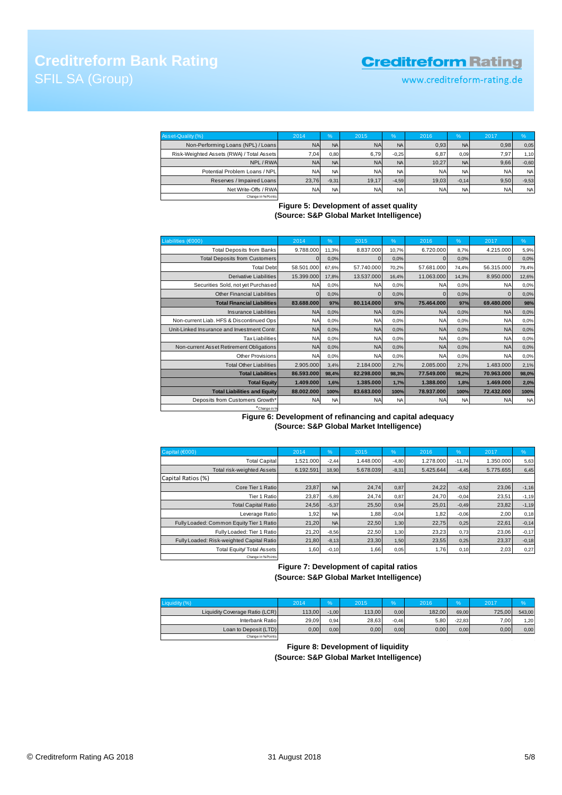www.creditreform-rating.de

| Asset-Quality (%)                         | 2014      | $\sqrt{2}$     | 2015      | $\frac{1}{2}$ | 2016      | $\frac{9}{6}$ | 2017      | $\%$      |
|-------------------------------------------|-----------|----------------|-----------|---------------|-----------|---------------|-----------|-----------|
| Non-Performing Loans (NPL) / Loans        | <b>NA</b> | <b>NA</b>      | <b>NA</b> | <b>NA</b>     | 0,93      | <b>NA</b>     | 0,98      | 0,05      |
| Risk-Weighted Assets (RWA) / Total Assets | 7.04      | 0.80           | 6,79      | $-0.25$       | 6,87      | 0.09          | 7.97      | 1,10      |
| NPL/RWA                                   | <b>NA</b> | N <sub>A</sub> | <b>NA</b> | <b>NA</b>     | 10.27     | <b>NA</b>     | 9,66      | $-0,60$   |
| Potential Problem Loans / NPL             | <b>NA</b> | N <sub>A</sub> | <b>NA</b> | <b>NA</b>     | <b>NA</b> | <b>NA</b>     | <b>NA</b> | <b>NA</b> |
| Reserves / Impaired Loans                 | 23.76     | $-9.31$        | 19,17     | $-4,59$       | 19.03     | $-0,14$       | 9,50      | $-9,53$   |
| Net Write-Offs / RWA                      | <b>NA</b> | N <sub>A</sub> | <b>NA</b> | <b>NA</b>     | <b>NA</b> | <b>NA</b>     | <b>NA</b> | <b>NA</b> |
| Change in % Points                        |           |                |           |               |           |               |           |           |

### **Figure 5: Development of asset quality (Source: S&P Global Market Intelligence)**

| Liabilities (€000)                          | 2014         | %         | 2015       | %         | 2016       | %         | 2017       | %         |
|---------------------------------------------|--------------|-----------|------------|-----------|------------|-----------|------------|-----------|
| <b>Total Deposits from Banks</b>            | 9.788.000    | 11,3%     | 8.837.000  | 10,7%     | 6.720.000  | 8,7%      | 4.215.000  | 5,9%      |
| <b>Total Deposits from Customers</b>        | <sup>0</sup> | 0.0%      | $\Omega$   | 0,0%      | ŋ          | 0.0%      | $\Omega$   | 0,0%      |
| <b>Total Debt</b>                           | 58.501.000   | 67,6%     | 57.740.000 | 70,2%     | 57.681.000 | 74,4%     | 56.315.000 | 79,4%     |
| Derivative Liabilities                      | 15.399.000   | 17,8%     | 13.537.000 | 16,4%     | 11.063.000 | 14,3%     | 8.950.000  | 12,6%     |
| Securities Sold, not yet Purchased          | <b>NA</b>    | 0.0%      | <b>NA</b>  | 0.0%      | <b>NA</b>  | 0.0%      | <b>NA</b>  | 0,0%      |
| <b>Other Financial Liabilities</b>          | $\Omega$     | 0.0%      | $\Omega$   | 0.0%      | ŋ          | 0.0%      | $\Omega$   | 0,0%      |
| <b>Total Financial Liabilities</b>          | 83.688.000   | 97%       | 80.114.000 | 97%       | 75.464.000 | 97%       | 69.480.000 | 98%       |
| Insurance Liabilities                       | <b>NA</b>    | 0.0%      | <b>NA</b>  | 0,0%      | <b>NA</b>  | 0.0%      | <b>NA</b>  | 0,0%      |
| Non-current Liab. HFS & Discontinued Ops    | <b>NA</b>    | 0.0%      | <b>NA</b>  | 0.0%      | <b>NA</b>  | 0.0%      | <b>NA</b>  | 0,0%      |
| Unit-Linked Insurance and Investment Contr. | <b>NA</b>    | 0.0%      | <b>NA</b>  | 0.0%      | <b>NA</b>  | 0.0%      | <b>NA</b>  | 0,0%      |
| <b>Tax Liabilities</b>                      | <b>NA</b>    | 0.0%      | <b>NA</b>  | 0,0%      | <b>NA</b>  | 0.0%      | <b>NA</b>  | 0,0%      |
| Non-current Asset Retirement Obligations    | <b>NA</b>    | 0,0%      | <b>NA</b>  | 0,0%      | <b>NA</b>  | 0.0%      | <b>NA</b>  | 0,0%      |
| <b>Other Provisions</b>                     | <b>NA</b>    | 0.0%      | <b>NA</b>  | 0,0%      | <b>NA</b>  | 0.0%      | <b>NA</b>  | 0,0%      |
| <b>Total Other Liabilities</b>              | 2.905.000    | 3,4%      | 2.184.000  | 2,7%      | 2.085.000  | 2,7%      | 1.483.000  | 2,1%      |
| <b>Total Liabilities</b>                    | 86.593.000   | 98,4%     | 82.298.000 | 98,3%     | 77.549.000 | 98,2%     | 70.963.000 | 98,0%     |
| <b>Total Equity</b>                         | 1.409.000    | 1,6%      | 1.385.000  | 1,7%      | 1.388.000  | 1,8%      | 1.469.000  | 2,0%      |
| <b>Total Liabilities and Equity</b>         | 88.002.000   | 100%      | 83.683.000 | 100%      | 78.937.000 | 100%      | 72.432.000 | 100%      |
| Deposits from Customers Growth*             | <b>NA</b>    | <b>NA</b> | <b>NA</b>  | <b>NA</b> | <b>NA</b>  | <b>NA</b> | <b>NA</b>  | <b>NA</b> |
| *Change in %                                |              |           |            |           |            |           |            |           |

#### **Figure 6: Development of refinancing and capital adequacy (Source: S&P Global Market Intelligence)**

| Capital (€000)                            | 2014      | $\%$      | 2015      | $\frac{9}{6}$ | 2016      | $\%$     | 2017      | $\frac{9}{6}$ |
|-------------------------------------------|-----------|-----------|-----------|---------------|-----------|----------|-----------|---------------|
| <b>Total Capital</b>                      | 1.521.000 | $-2,44$   | 1.448.000 | $-4,80$       | 1.278.000 | $-11.74$ | 1.350.000 | 5,63          |
| Total risk-weighted Assets                | 6.192.591 | 18,90     | 5.678.039 | $-8,31$       | 5.425.644 | $-4,45$  | 5.775.655 | 6,45          |
| Capital Ratios (%)                        |           |           |           |               |           |          |           |               |
| Core Tier 1 Ratio                         | 23.87     | <b>NA</b> | 24,74     | 0,87          | 24,22     | $-0,52$  | 23,06     | $-1,16$       |
| Tier 1 Ratio                              | 23,87     | $-5,89$   | 24,74     | 0,87          | 24,70     | $-0.04$  | 23,51     | $-1,19$       |
| <b>Total Capital Ratio</b>                | 24,56     | $-5,37$   | 25.50     | 0,94          | 25.01     | $-0.49$  | 23,82     | $-1,19$       |
| Leverage Ratio                            | 1,92      | <b>NA</b> | 1,88      | $-0,04$       | 1,82      | $-0.06$  | 2,00      | 0,18          |
| Fully Loaded: Common Equity Tier 1 Ratio  | 21.20     | <b>NA</b> | 22,50     | 1,30          | 22,75     | 0,25     | 22.61     | $-0,14$       |
| Fully Loaded: Tier 1 Ratio                | 21,20     | $-8,56$   | 22,50     | 1,30          | 23,23     | 0,73     | 23,06     | $-0,17$       |
| Fully Loaded: Risk-weighted Capital Ratio | 21,80     | $-8,13$   | 23,30     | 1,50          | 23,55     | 0,25     | 23,37     | $-0,18$       |
| Total Equity/ Total Assets                | 1,60      | $-0,10$   | 1,66      | 0,05          | 1,76      | 0,10     | 2,03      | 0,27          |
| Change in % Points                        |           |           |           |               |           |          |           |               |

**Figure 7: Development of capital ratios (Source: S&P Global Market Intelligence)**

| Liquidity (%)                  | 2014   | $\frac{9}{6}$ | 2015   | $\%$    | 2016   | $\%$     | 2017   | $\%$   |
|--------------------------------|--------|---------------|--------|---------|--------|----------|--------|--------|
| Liquidity Coverage Ratio (LCR) | 113.00 | $-1.00$       | 113.00 | 0.00    | 182.00 | 69.00    | 725,00 | 543.00 |
| Interbank Ratio                | 29.09  | 0.94          | 28.63  | $-0.46$ | 5,80   | $-22.83$ | 7.001  | .20    |
| Loan to Deposit (LTD)          | 0,00   | 0.00          | 0,00   | 0.00    | 0,00   | 0.00     | 0.00   | 0.00   |
| Change in % Points             |        |               |        |         |        |          |        |        |

**Figure 8: Development of liquidity (Source: S&P Global Market Intelligence)**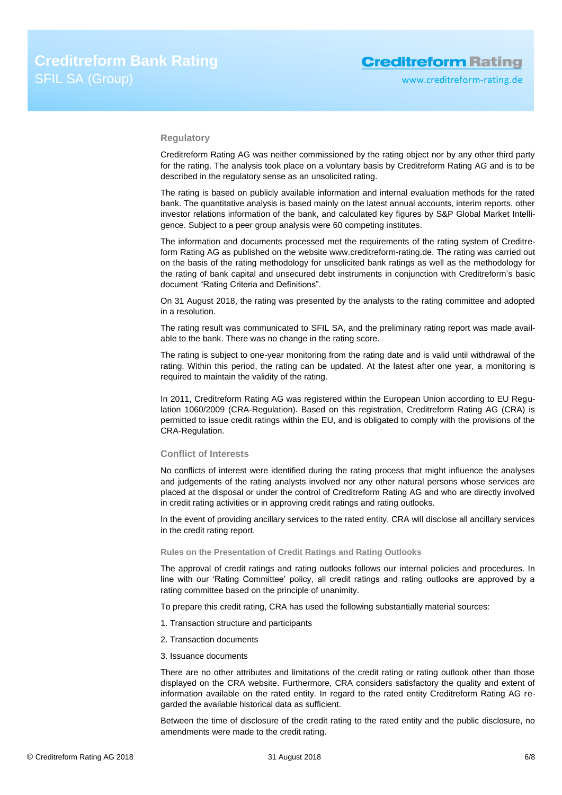#### **Regulatory**

Creditreform Rating AG was neither commissioned by the rating object nor by any other third party for the rating. The analysis took place on a voluntary basis by Creditreform Rating AG and is to be described in the regulatory sense as an unsolicited rating.

The rating is based on publicly available information and internal evaluation methods for the rated bank. The quantitative analysis is based mainly on the latest annual accounts, interim reports, other investor relations information of the bank, and calculated key figures by S&P Global Market Intelligence. Subject to a peer group analysis were 60 competing institutes.

The information and documents processed met the requirements of the rating system of Creditreform Rating AG as published on the website www.creditreform-rating.de. The rating was carried out on the basis of the rating methodology for unsolicited bank ratings as well as the methodology for the rating of bank capital and unsecured debt instruments in conjunction with Creditreform's basic document "Rating Criteria and Definitions".

On 31 August 2018, the rating was presented by the analysts to the rating committee and adopted in a resolution.

The rating result was communicated to SFIL SA, and the preliminary rating report was made available to the bank. There was no change in the rating score.

The rating is subject to one-year monitoring from the rating date and is valid until withdrawal of the rating. Within this period, the rating can be updated. At the latest after one year, a monitoring is required to maintain the validity of the rating.

In 2011, Creditreform Rating AG was registered within the European Union according to EU Regulation 1060/2009 (CRA-Regulation). Based on this registration, Creditreform Rating AG (CRA) is permitted to issue credit ratings within the EU, and is obligated to comply with the provisions of the CRA-Regulation.

#### **Conflict of Interests**

No conflicts of interest were identified during the rating process that might influence the analyses and judgements of the rating analysts involved nor any other natural persons whose services are placed at the disposal or under the control of Creditreform Rating AG and who are directly involved in credit rating activities or in approving credit ratings and rating outlooks.

In the event of providing ancillary services to the rated entity, CRA will disclose all ancillary services in the credit rating report.

#### **Rules on the Presentation of Credit Ratings and Rating Outlooks**

The approval of credit ratings and rating outlooks follows our internal policies and procedures. In line with our 'Rating Committee' policy, all credit ratings and rating outlooks are approved by a rating committee based on the principle of unanimity.

To prepare this credit rating, CRA has used the following substantially material sources:

- 1. Transaction structure and participants
- 2. Transaction documents
- 3. Issuance documents

There are no other attributes and limitations of the credit rating or rating outlook other than those displayed on the CRA website. Furthermore, CRA considers satisfactory the quality and extent of information available on the rated entity. In regard to the rated entity Creditreform Rating AG regarded the available historical data as sufficient.

Between the time of disclosure of the credit rating to the rated entity and the public disclosure, no amendments were made to the credit rating.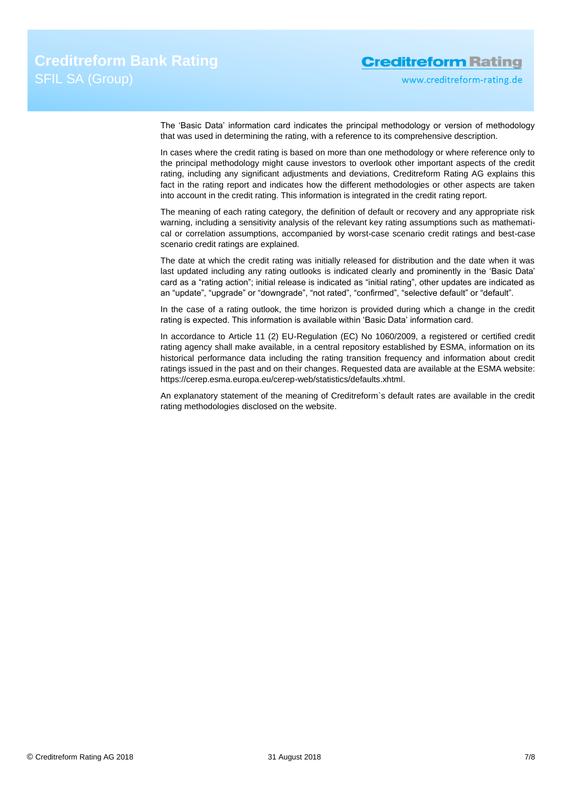www.creditreform-rating.de

The 'Basic Data' information card indicates the principal methodology or version of methodology that was used in determining the rating, with a reference to its comprehensive description.

In cases where the credit rating is based on more than one methodology or where reference only to the principal methodology might cause investors to overlook other important aspects of the credit rating, including any significant adjustments and deviations, Creditreform Rating AG explains this fact in the rating report and indicates how the different methodologies or other aspects are taken into account in the credit rating. This information is integrated in the credit rating report.

The meaning of each rating category, the definition of default or recovery and any appropriate risk warning, including a sensitivity analysis of the relevant key rating assumptions such as mathematical or correlation assumptions, accompanied by worst-case scenario credit ratings and best-case scenario credit ratings are explained.

The date at which the credit rating was initially released for distribution and the date when it was last updated including any rating outlooks is indicated clearly and prominently in the 'Basic Data' card as a "rating action"; initial release is indicated as "initial rating", other updates are indicated as an "update", "upgrade" or "downgrade", "not rated", "confirmed", "selective default" or "default".

In the case of a rating outlook, the time horizon is provided during which a change in the credit rating is expected. This information is available within 'Basic Data' information card.

In accordance to Article 11 (2) EU-Regulation (EC) No 1060/2009, a registered or certified credit rating agency shall make available, in a central repository established by ESMA, information on its historical performance data including the rating transition frequency and information about credit ratings issued in the past and on their changes. Requested data are available at the ESMA website: https://cerep.esma.europa.eu/cerep-web/statistics/defaults.xhtml.

An explanatory statement of the meaning of Creditreform`s default rates are available in the credit rating methodologies disclosed on the website.